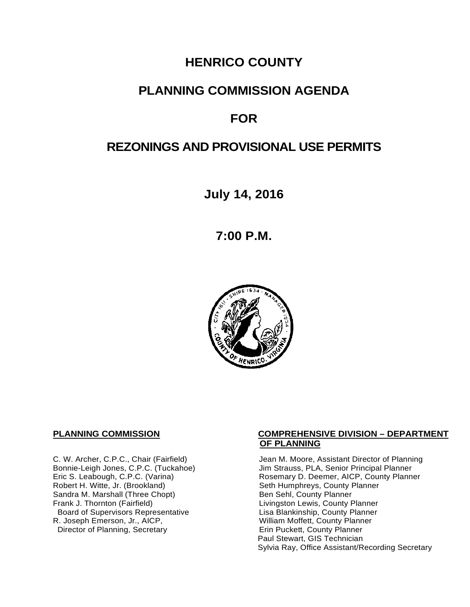# **HENRICO COUNTY**

# **PLANNING COMMISSION AGENDA**

# **FOR**

# **REZONINGS AND PROVISIONAL USE PERMITS**

**July 14, 2016**

**7:00 P.M.**



Sandra M. Marshall (Three Chopt)<br>Frank J. Thornton (Fairfield) Board of Supervisors Representative Fig. 2016 Lisa Blankinship, County Planner<br>L. Joseph Emerson, Jr., AICP, North County Planner (Nilliam Moffett, County Planner) R. Joseph Emerson, Jr., AICP, <br>
Director of Planning, Secretary 
William Moffett, County Planner Director of Planning, Secretary

#### **PLANNING COMMISSION COMPREHENSIVE DIVISION – DEPARTMENT OF PLANNING**

C. W. Archer, C.P.C., Chair (Fairfield) Jean M. Moore, Assistant Director of Planning<br>Bonnie-Leigh Jones, C.P.C. (Tuckahoe) Jim Strauss, PLA, Senior Principal Planner Bonnie-Leigh Jones, C.P.C. (Tuckahoe) Jim Strauss, PLA, Senior Principal Planner<br>Eric S. Leabough, C.P.C. (Varina) Rosemary D. Deemer, AICP, County Planne Eric S. Leabough, C.P.C. (Varina) The Rosemary D. Deemer, AICP, County Planner<br>Robert H. Witte, Jr. (Brookland) The Seth Humphreys, County Planner Seth Humphreys, County Planner<br>Ben Sehl, County Planner Livingston Lewis, County Planner<br>Lisa Blankinship, County Planner Paul Stewart, GIS Technician Sylvia Ray, Office Assistant/Recording Secretary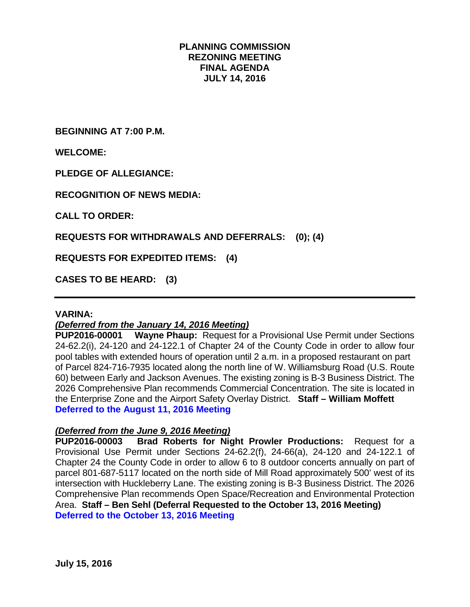# **PLANNING COMMISSION REZONING MEETING FINAL AGENDA JULY 14, 2016**

**BEGINNING AT 7:00 P.M.**

**WELCOME:**

**PLEDGE OF ALLEGIANCE:**

**RECOGNITION OF NEWS MEDIA:**

**CALL TO ORDER:**

**REQUESTS FOR WITHDRAWALS AND DEFERRALS: (0); (4)**

**REQUESTS FOR EXPEDITED ITEMS: (4)**

**CASES TO BE HEARD: (3)**

#### **VARINA:**

## *(Deferred from the January 14, 2016 Meeting)*

**PUP2016-00001 Wayne Phaup:** Request for a Provisional Use Permit under Sections 24-62.2(i), 24-120 and 24-122.1 of Chapter 24 of the County Code in order to allow four pool tables with extended hours of operation until 2 a.m. in a proposed restaurant on part of Parcel 824-716-7935 located along the north line of W. Williamsburg Road (U.S. Route 60) between Early and Jackson Avenues. The existing zoning is B-3 Business District. The 2026 Comprehensive Plan recommends Commercial Concentration. The site is located in the Enterprise Zone and the Airport Safety Overlay District. **Staff – William Moffett Deferred to the August 11, 2016 Meeting**

## *(Deferred from the June 9, 2016 Meeting)*

**PUP2016-00003 Brad Roberts for Night Prowler Productions:** Request for a Provisional Use Permit under Sections 24-62.2(f), 24-66(a), 24-120 and 24-122.1 of Chapter 24 the County Code in order to allow 6 to 8 outdoor concerts annually on part of parcel 801-687-5117 located on the north side of Mill Road approximately 500' west of its intersection with Huckleberry Lane. The existing zoning is B-3 Business District. The 2026 Comprehensive Plan recommends Open Space/Recreation and Environmental Protection Area. **Staff – Ben Sehl (Deferral Requested to the October 13, 2016 Meeting) Deferred to the October 13, 2016 Meeting**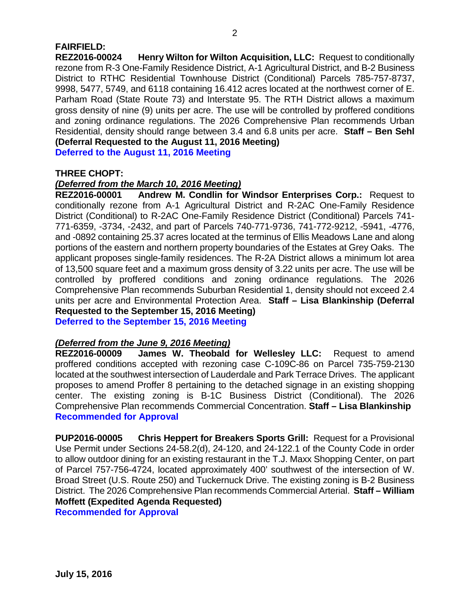# **FAIRFIELD:**

**REZ2016-00024 Henry Wilton for Wilton Acquisition, LLC:** Request to conditionally rezone from R-3 One-Family Residence District, A-1 Agricultural District, and B-2 Business District to RTHC Residential Townhouse District (Conditional) Parcels 785-757-8737, 9998, 5477, 5749, and 6118 containing 16.412 acres located at the northwest corner of E. Parham Road (State Route 73) and Interstate 95. The RTH District allows a maximum gross density of nine (9) units per acre. The use will be controlled by proffered conditions and zoning ordinance regulations. The 2026 Comprehensive Plan recommends Urban Residential, density should range between 3.4 and 6.8 units per acre. **Staff – Ben Sehl (Deferral Requested to the August 11, 2016 Meeting)**

**Deferred to the August 11, 2016 Meeting**

# **THREE CHOPT:**

## *(Deferred from the March 10, 2016 Meeting)*

**REZ2016-00001 Andrew M. Condlin for Windsor Enterprises Corp.:** Request to conditionally rezone from A-1 Agricultural District and R-2AC One-Family Residence District (Conditional) to R-2AC One-Family Residence District (Conditional) Parcels 741- 771-6359, -3734, -2432, and part of Parcels 740-771-9736, 741-772-9212, -5941, -4776, and -0892 containing 25.37 acres located at the terminus of Ellis Meadows Lane and along portions of the eastern and northern property boundaries of the Estates at Grey Oaks. The applicant proposes single-family residences. The R-2A District allows a minimum lot area of 13,500 square feet and a maximum gross density of 3.22 units per acre. The use will be controlled by proffered conditions and zoning ordinance regulations. The 2026 Comprehensive Plan recommends Suburban Residential 1, density should not exceed 2.4 units per acre and Environmental Protection Area. **Staff – Lisa Blankinship (Deferral Requested to the September 15, 2016 Meeting) Deferred to the September 15, 2016 Meeting**

# *(Deferred from the June 9, 2016 Meeting)*

**REZ2016-00009 James W. Theobald for Wellesley LLC:** Request to amend proffered conditions accepted with rezoning case C-109C-86 on Parcel 735-759-2130 located at the southwest intersection of Lauderdale and Park Terrace Drives. The applicant proposes to amend Proffer 8 pertaining to the detached signage in an existing shopping center. The existing zoning is B-1C Business District (Conditional). The 2026 Comprehensive Plan recommends Commercial Concentration. **Staff – Lisa Blankinship Recommended for Approval**

**PUP2016-00005 Chris Heppert for Breakers Sports Grill:** Request for a Provisional Use Permit under Sections 24-58.2(d), 24-120, and 24-122.1 of the County Code in order to allow outdoor dining for an existing restaurant in the T.J. Maxx Shopping Center, on part of Parcel 757-756-4724, located approximately 400' southwest of the intersection of W. Broad Street (U.S. Route 250) and Tuckernuck Drive. The existing zoning is B-2 Business District. The 2026 Comprehensive Plan recommends Commercial Arterial. **Staff – William Moffett (Expedited Agenda Requested)**

**Recommended for Approval**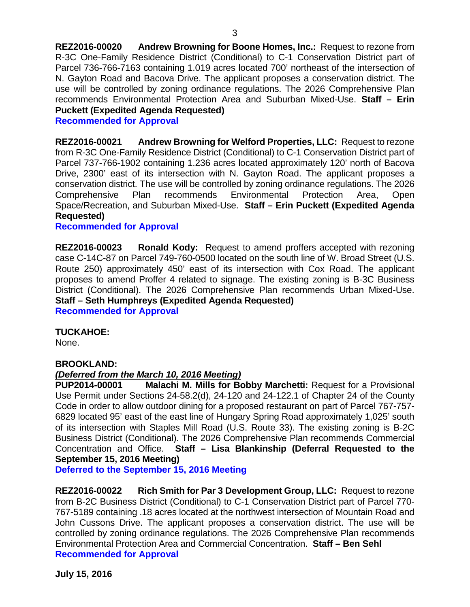**REZ2016-00020 Andrew Browning for Boone Homes, Inc.:** Request to rezone from R-3C One-Family Residence District (Conditional) to C-1 Conservation District part of Parcel 736-766-7163 containing 1.019 acres located 700' northeast of the intersection of N. Gayton Road and Bacova Drive. The applicant proposes a conservation district. The use will be controlled by zoning ordinance regulations. The 2026 Comprehensive Plan recommends Environmental Protection Area and Suburban Mixed-Use. **Staff – Erin Puckett (Expedited Agenda Requested)**

**Recommended for Approval**

**REZ2016-00021 Andrew Browning for Welford Properties, LLC:** Request to rezone from R-3C One-Family Residence District (Conditional) to C-1 Conservation District part of Parcel 737-766-1902 containing 1.236 acres located approximately 120' north of Bacova Drive, 2300' east of its intersection with N. Gayton Road. The applicant proposes a conservation district. The use will be controlled by zoning ordinance regulations. The 2026 Comprehensive Plan recommends Environmental Protection Area, Open Space/Recreation, and Suburban Mixed-Use. **Staff – Erin Puckett (Expedited Agenda Requested)**

#### **Recommended for Approval**

**REZ2016-00023 Ronald Kody:** Request to amend proffers accepted with rezoning case C-14C-87 on Parcel 749-760-0500 located on the south line of W. Broad Street (U.S. Route 250) approximately 450' east of its intersection with Cox Road. The applicant proposes to amend Proffer 4 related to signage. The existing zoning is B-3C Business District (Conditional). The 2026 Comprehensive Plan recommends Urban Mixed-Use. **Staff – Seth Humphreys (Expedited Agenda Requested) Recommended for Approval**

## **TUCKAHOE:**

None.

## **BROOKLAND:**

## *(Deferred from the March 10, 2016 Meeting)*

**PUP2014-00001 Malachi M. Mills for Bobby Marchetti:** Request for a Provisional Use Permit under Sections 24-58.2(d), 24-120 and 24-122.1 of Chapter 24 of the County Code in order to allow outdoor dining for a proposed restaurant on part of Parcel 767-757- 6829 located 95' east of the east line of Hungary Spring Road approximately 1,025' south of its intersection with Staples Mill Road (U.S. Route 33). The existing zoning is B-2C Business District (Conditional). The 2026 Comprehensive Plan recommends Commercial Concentration and Office. **Staff – Lisa Blankinship (Deferral Requested to the September 15, 2016 Meeting)**

**Deferred to the September 15, 2016 Meeting**

**REZ2016-00022 Rich Smith for Par 3 Development Group, LLC:** Request to rezone from B-2C Business District (Conditional) to C-1 Conservation District part of Parcel 770- 767-5189 containing .18 acres located at the northwest intersection of Mountain Road and John Cussons Drive. The applicant proposes a conservation district. The use will be controlled by zoning ordinance regulations. The 2026 Comprehensive Plan recommends Environmental Protection Area and Commercial Concentration. **Staff – Ben Sehl Recommended for Approval**